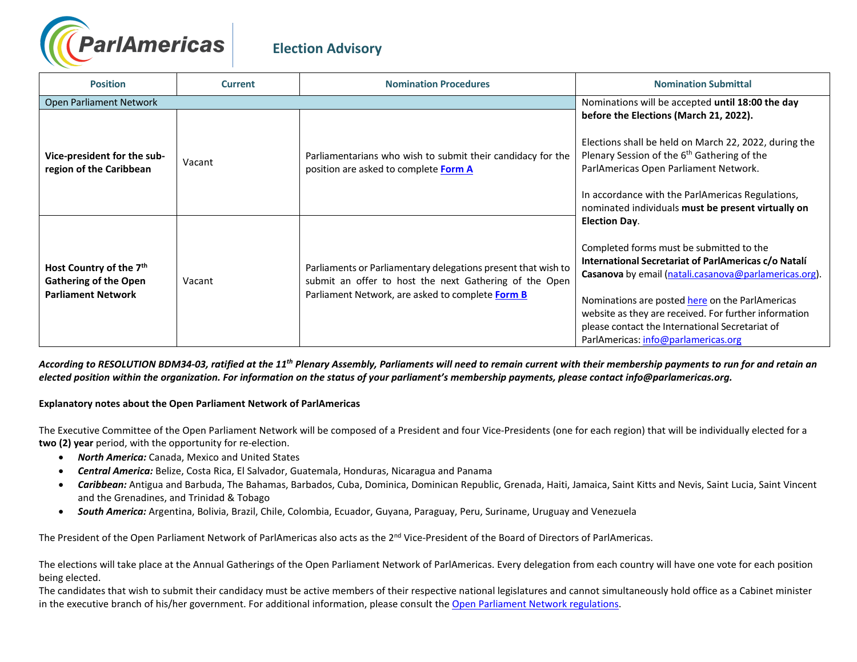

## **Election Advisory**

| <b>Position</b>                                                                                  | <b>Current</b> | <b>Nomination Procedures</b>                                                                                                                                                | <b>Nomination Submittal</b>                                                                                                                                                                                                                                                                                                                                                             |
|--------------------------------------------------------------------------------------------------|----------------|-----------------------------------------------------------------------------------------------------------------------------------------------------------------------------|-----------------------------------------------------------------------------------------------------------------------------------------------------------------------------------------------------------------------------------------------------------------------------------------------------------------------------------------------------------------------------------------|
| Open Parliament Network                                                                          |                |                                                                                                                                                                             | Nominations will be accepted until 18:00 the day                                                                                                                                                                                                                                                                                                                                        |
| Vice-president for the sub-<br>region of the Caribbean                                           | Vacant         | Parliamentarians who wish to submit their candidacy for the<br>position are asked to complete Form A                                                                        | before the Elections (March 21, 2022).<br>Elections shall be held on March 22, 2022, during the<br>Plenary Session of the 6 <sup>th</sup> Gathering of the<br>ParlAmericas Open Parliament Network.<br>In accordance with the ParlAmericas Regulations,<br>nominated individuals must be present virtually on                                                                           |
| Host Country of the 7 <sup>th</sup><br><b>Gathering of the Open</b><br><b>Parliament Network</b> | Vacant         | Parliaments or Parliamentary delegations present that wish to<br>submit an offer to host the next Gathering of the Open<br>Parliament Network, are asked to complete Form B | <b>Election Day.</b><br>Completed forms must be submitted to the<br>International Secretariat of ParlAmericas c/o Natalí<br>Casanova by email (natali.casanova@parlamericas.org).<br>Nominations are posted here on the ParlAmericas<br>website as they are received. For further information<br>please contact the International Secretariat of<br>ParlAmericas: info@parlamericas.org |

*According to RESOLUTION BDM34-03, ratified at the 11th Plenary Assembly, Parliaments will need to remain current with their membership payments to run for and retain an elected position within the organization. For information on the status of your parliament's membership payments, please contact info@parlamericas.org.* 

## **Explanatory notes about the Open Parliament Network of ParlAmericas**

The Executive Committee of the Open Parliament Network will be composed of a President and four Vice-Presidents (one for each region) that will be individually elected for a **two (2) year** period, with the opportunity for re-election.

- *North America:* Canada, Mexico and United States
- *Central America:* Belize, Costa Rica, El Salvador, Guatemala, Honduras, Nicaragua and Panama
- *Caribbean:* Antigua and Barbuda, The Bahamas, Barbados, Cuba, Dominica, Dominican Republic, Grenada, Haiti, Jamaica, Saint Kitts and Nevis, Saint Lucia, Saint Vincent and the Grenadines, and Trinidad & Tobago
- *South America:* Argentina, Bolivia, Brazil, Chile, Colombia, Ecuador, Guyana, Paraguay, Peru, Suriname, Uruguay and Venezuela

The President of the Open Parliament Network of ParlAmericas also acts as the 2<sup>nd</sup> Vice-President of the Board of Directors of ParlAmericas.

The elections will take place at the Annual Gatherings of the Open Parliament Network of ParlAmericas. Every delegation from each country will have one vote for each position being elected.

The candidates that wish to submit their candidacy must be active members of their respective national legislatures and cannot simultaneously hold office as a Cabinet minister in the executive branch of his/her government. For additional information, please consult th[e Open Parliament Network regulations.](http://parlamericas.org/uploads/documents/Open_Parliament_Network_Regulations.pdf)